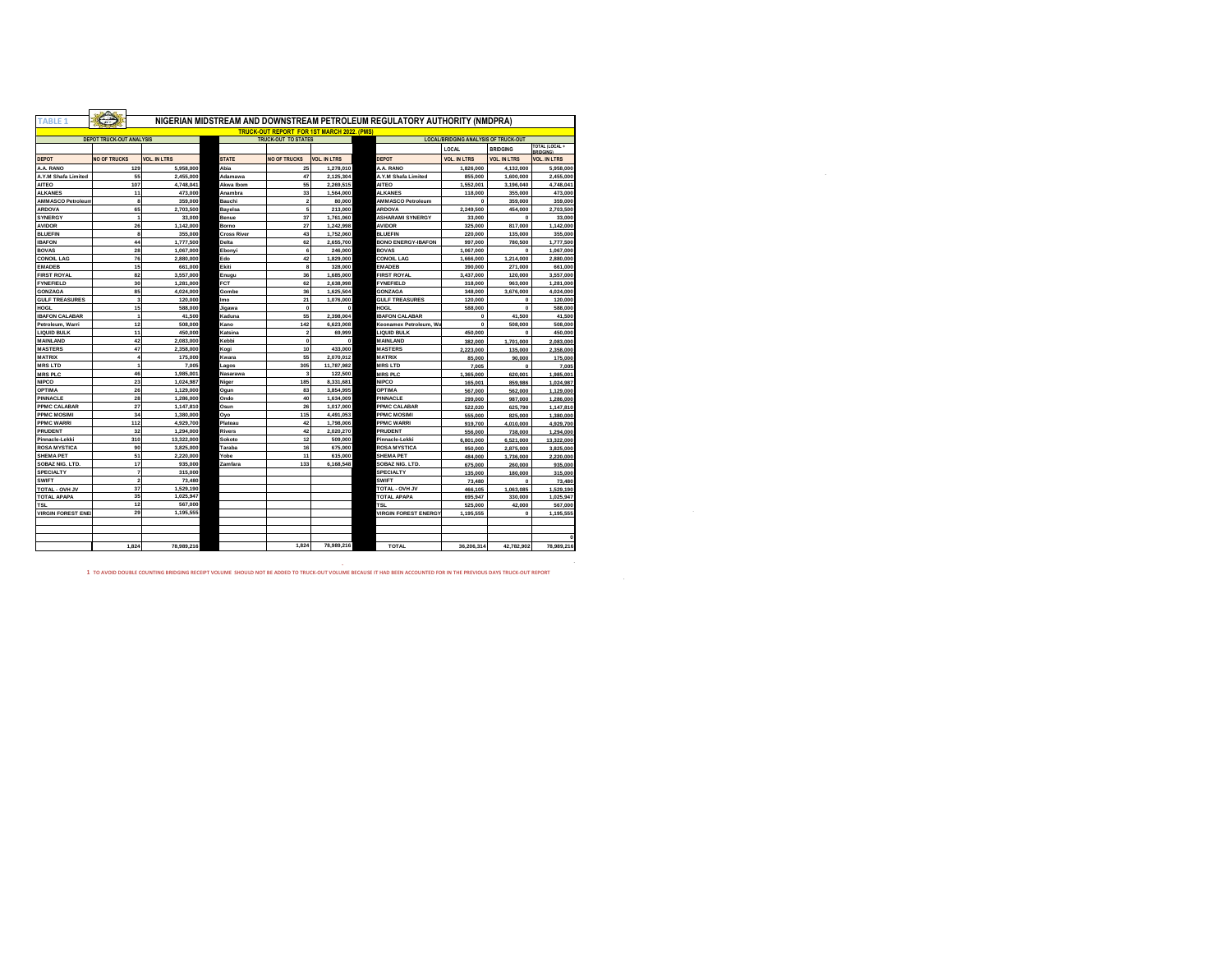| <b>TABLE 1</b>                                                                                               |                         | NIGERIAN MIDSTREAM AND DOWNSTREAM PETROLEUM REGULATORY AUTHORITY (NMDPRA) |                    |                                                   |                     |                             |                     |                     |                             |  |
|--------------------------------------------------------------------------------------------------------------|-------------------------|---------------------------------------------------------------------------|--------------------|---------------------------------------------------|---------------------|-----------------------------|---------------------|---------------------|-----------------------------|--|
|                                                                                                              |                         |                                                                           |                    | <b>TRUCK-OUT REPORT FOR 1ST MARCH 2022. (PMS)</b> |                     |                             |                     |                     |                             |  |
| <b>DEPOT TRUCK-OUT ANALYSIS</b><br><b>LOCAL/BRIDGING ANALYSIS OF TRUCK-OUT</b><br><b>TRUCK-OUT TO STATES</b> |                         |                                                                           |                    |                                                   |                     |                             |                     |                     |                             |  |
|                                                                                                              |                         |                                                                           |                    |                                                   |                     |                             | LOCAL               | <b>BRIDGING</b>     | TOTAL (LOCAL +<br>RRIDGINGI |  |
| <b>DEPOT</b>                                                                                                 | <b>NO OF TRUCKS</b>     | <b>VOL. IN LTRS</b>                                                       | <b>STATE</b>       | <b>NO OF TRUCKS</b>                               | <b>VOL. IN LTRS</b> | <b>DEPOT</b>                | <b>VOL. IN LTRS</b> | <b>VOL. IN LTRS</b> | <b>VOL. IN LTRS</b>         |  |
| A.A. RANO                                                                                                    | 129                     | 5,958,000                                                                 | Abia               | 25                                                | 1.278.010           | A.A. RANO                   | 1,826,000           | 4,132,000           | 5,958,000                   |  |
| A.Y.M Shafa Limited                                                                                          | 55                      | 2,455,000                                                                 | Adamawa            | 47                                                | 2,125,304           | A.Y.M Shafa Limited         | 855,000             | 1,600,000           | 2,455,000                   |  |
| <b>AITEO</b>                                                                                                 | 107                     | 4.748.041                                                                 | Akwa Ibom          | 55                                                | 2.269.515           | <b>AITEO</b>                | 1.552.001           | 3.196.040           | 4.748.041                   |  |
| <b>ALKANES</b>                                                                                               | 11                      | 473,000                                                                   | Anambra            | 33                                                | 1,564,000           | <b>ALKANES</b>              | 118,000             | 355,000             | 473,000                     |  |
| <b>AMMASCO Petroleum</b>                                                                                     | 8                       | 359,000                                                                   | Bauchi             | $\overline{2}$                                    | 80,000              | <b>AMMASCO Petroleum</b>    | $\mathbf{0}$        | 359,000             | 359,000                     |  |
| <b>ARDOVA</b>                                                                                                | 65                      | 2.703.500                                                                 | <b>Bavelsa</b>     | 5                                                 | 213,000             | <b>ARDOVA</b>               | 2.249.500           | 454.000             | 2.703.500                   |  |
| <b>SYNERGY</b>                                                                                               | $\overline{1}$          | 33,000                                                                    | Benue              | 37                                                | 1,761,060           | <b>ASHARAMI SYNERGY</b>     | 33,000              | $\Omega$            | 33,000                      |  |
| <b>AVIDOR</b>                                                                                                | 26                      | 1,142,000                                                                 | Borno              | 27                                                | 1.242.998           | <b>AVIDOR</b>               | 325.000             | 817,000             | 1,142,000                   |  |
| <b>BLUEFIN</b>                                                                                               | 8                       | 355,000                                                                   | <b>Cross River</b> | 43                                                | 1.752.060           | <b>BLUEFIN</b>              | 220,000             | 135,000             | 355,000                     |  |
| <b>IBAFON</b>                                                                                                | 44                      | 1.777.500                                                                 | Delta              | 62                                                | 2.655.700           | <b>BONO ENERGY-IBAFON</b>   | 997,000             | 780,500             | 1,777,500                   |  |
| <b>BOVAS</b>                                                                                                 | 28                      | 1,067,000                                                                 | Ebonvi             | 6                                                 | 246,000             | <b>BOVAS</b>                | 1,067,000           | $\Omega$            | 1.067.000                   |  |
| <b>CONOIL LAG</b>                                                                                            | 76                      | 2,880,000                                                                 | Edo                | 42                                                | 1,829,000           | <b>CONOIL LAG</b>           | 1,666,000           | 1.214.000           | 2,880,000                   |  |
| <b>EMADEB</b>                                                                                                | 15                      | 661,000                                                                   | Ekiti              | 8                                                 | 328,000             | <b>EMADEB</b>               | 390,000             | 271,000             | 661,000                     |  |
| <b>FIRST ROYAL</b>                                                                                           | 82                      | 3,557,000                                                                 | Enugu              | 36                                                | 1,685,000           | <b>FIRST ROYAL</b>          | 3,437,000           | 120,000             | 3.557.000                   |  |
| <b>FYNEFIELD</b>                                                                                             | 30                      | 1.281.000                                                                 | <b>FCT</b>         | 62                                                | 2,638,998           | <b>FYNEFIELD</b>            | 318,000             | 963,000             | 1.281.000                   |  |
| <b>GONZAGA</b>                                                                                               | 85                      | 4,024,000                                                                 | Gombe              | 36                                                | 1,625,504           | GONZAGA                     | 348,000             | 3,676,000           | 4,024,000                   |  |
| <b>GULF TREASURES</b>                                                                                        | $\overline{\mathbf{3}}$ | 120,000                                                                   | Imo                | 21                                                | 1,076,000           | <b>GULF TREASURES</b>       | 120,000             | $\mathbf{0}$        | 120,000                     |  |
| HOGL                                                                                                         | 15                      | 588,000                                                                   | Jigawa             | $\mathbf{0}$                                      | $\mathbf{0}$        | HOGL                        | 588,000             | $\mathbf{0}$        | 588,000                     |  |
| <b>BAFON CALABAR</b>                                                                                         | $\overline{1}$          | 41,500                                                                    | Kaduna             | 55                                                | 2,398,004           | <b>IBAFON CALABAR</b>       | $\mathbf{0}$        | 41,500              | 41,500                      |  |
| Petroleum, Warri                                                                                             | 12                      | 508,000                                                                   | Kano               | 142                                               | 6.623.008           | Keonamex Petroleum, Wa      | $\mathbf{0}$        | 508,000             | 508,000                     |  |
| <b>LIQUID BULK</b>                                                                                           | 11                      | 450,000                                                                   | Katsina            | $\overline{ }$                                    | 69,999              | <b>LIQUID BULK</b>          | 450,000             | $\mathbf{0}$        | 450,000                     |  |
| <b>MAINLAND</b>                                                                                              | 42                      | 2,083,000                                                                 | Kebbi              | $\mathbf{0}$                                      | $\Omega$            | MAINLAND                    |                     |                     |                             |  |
| <b>MASTERS</b>                                                                                               | 47                      | 2,358,000                                                                 | Kogi               | 10                                                | 433,000             | <b>MASTERS</b>              | 382,000             | 1,701,000           | 2,083,000                   |  |
| <b>MATRIX</b>                                                                                                | $\overline{4}$          | 175,000                                                                   | Kwara              | 55                                                | 2.070.012           | <b>MATRIX</b>               | 2.223.000           | 135,000             | 2,358,000                   |  |
|                                                                                                              | $\blacksquare$          |                                                                           |                    |                                                   |                     |                             | 85,000              | 90,000              | 175,000                     |  |
| <b>MRS LTD</b>                                                                                               | 46                      | 7.005                                                                     | Lagos              | 305                                               | 11,787.982          | <b>MRSLTD</b>               | 7,005               | $\Omega$            | 7.005                       |  |
| <b>MRS PLC</b>                                                                                               |                         | 1.985.001                                                                 | Nasarawa           | 3                                                 | 122,500             | <b>MRS PLC</b>              | 1.365.000           | 620.001             | 1.985.001                   |  |
| <b>NIPCO</b>                                                                                                 | 23                      | 1.024.987                                                                 | Niger              | 185                                               | 8,331,681           | <b>NIPCO</b>                | 165,001             | 859,986             | 1.024.987                   |  |
| <b>OPTIMA</b>                                                                                                | 26                      | 1.129.000                                                                 | Oaun               | 83                                                | 3.854.995           | <b>OPTIMA</b>               | 567.000             | 562,000             | 1.129.000                   |  |
| PINNACLE                                                                                                     | 28                      | 1,286,000                                                                 | Ondo               | 40                                                | 1,634,009           | PINNACLE                    | 299,000             | 987,000             | 1,286,000                   |  |
| PPMC CALABAR                                                                                                 | 27                      | 1,147,810                                                                 | Osun               | 26                                                | 1,017,000           | PPMC CALABAR                | 522,020             | 625,790             | 1,147,810                   |  |
| PPMC MOSIMI                                                                                                  | 34                      | 1,380,000                                                                 | Oyo                | 115                                               | 4,491,053           | PPMC MOSIMI                 | 555,000             | 825,000             | 1,380,000                   |  |
| <b>PPMC WARRI</b>                                                                                            | 112                     | 4.929.700                                                                 | Plateau            | 42                                                | 1,798,006           | <b>PPMC WARRI</b>           | 919,700             | 4.010.000           | 4.929.700                   |  |
| PRUDENT                                                                                                      | 32                      | 1.294.000                                                                 | <b>Rivers</b>      | 42                                                | 2.020.270           | PRUDENT                     | 556,000             | 738,000             | 1,294,000                   |  |
| Pinnacle-Lekki                                                                                               | 310                     | 13,322,000                                                                | Sokoto             | 12                                                | 509,000             | Pinnacle-Lekki              | 6,801,000           | 6,521,000           | 13,322,000                  |  |
| <b>ROSA MYSTICA</b>                                                                                          | 90                      | 3,825,000                                                                 | Taraba             | 16                                                | 675,000             | <b>ROSA MYSTICA</b>         | 950,000             | 2.875.000           | 3,825,000                   |  |
| <b>SHEMA PET</b>                                                                                             | 51                      | 2.220.000                                                                 | Yobe               | 11                                                | 615,000             | <b>SHEMA PET</b>            | 484.000             | 1,736,000           | 2.220,000                   |  |
| SOBAZ NIG. LTD.                                                                                              | 17                      | 935,000                                                                   | Zamfara            | 133                                               | 6,168,548           | SOBAZ NIG. LTD.             | 675,000             | 260,000             | 935,000                     |  |
| <b>SPECIALTY</b>                                                                                             | $\overline{\mathbf{7}}$ | 315,000                                                                   |                    |                                                   |                     | <b>SPECIALTY</b>            | 135,000             | 180,000             | 315,000                     |  |
| <b>SWIFT</b>                                                                                                 | $\overline{2}$          | 73,480                                                                    |                    |                                                   |                     | <b>SWIFT</b>                | 73,480              | $\Omega$            | 73,480                      |  |
| TOTAL - OVH JV                                                                                               | 37                      | 1,529,190                                                                 |                    |                                                   |                     | TOTAL - OVH JV              | 466,105             | 1,063,085           | 1,529,190                   |  |
| <b>TOTAL APAPA</b>                                                                                           | 35                      | 1,025,947                                                                 |                    |                                                   |                     | <b>TOTAL APAPA</b>          | 695,947             | 330,000             | 1.025.947                   |  |
| <b>TSL</b>                                                                                                   | 12                      | 567,000                                                                   |                    |                                                   |                     | <b>TSL</b>                  | 525.000             | 42.000              | 567,000                     |  |
| <b>VIRGIN FOREST ENE</b>                                                                                     | 29                      | 1,195,555                                                                 |                    |                                                   |                     | <b>VIRGIN FOREST ENERGY</b> | 1,195,555           | $\Omega$            | 1,195,555                   |  |
|                                                                                                              |                         |                                                                           |                    |                                                   |                     |                             |                     |                     |                             |  |
|                                                                                                              |                         |                                                                           |                    |                                                   |                     |                             |                     |                     |                             |  |
|                                                                                                              |                         |                                                                           |                    |                                                   |                     |                             |                     |                     |                             |  |
|                                                                                                              | 1.824                   | 78.989.216                                                                |                    | 1,824                                             | 78,989,216          | <b>TOTAL</b>                | 36.206.314          | 42.782.902          | 78,989,216                  |  |

 **- 1 TO AVOID DOUBLE COUNTING BRIDGING RECEIPT VOLUME SHOULD NOT BE ADDED TO TRUCK-OUT VOLUME BECAUSE IT HAD BEEN ACCOUNTED FOR IN THE PREVIOUS DAYS TRUCK-OUT REPORT**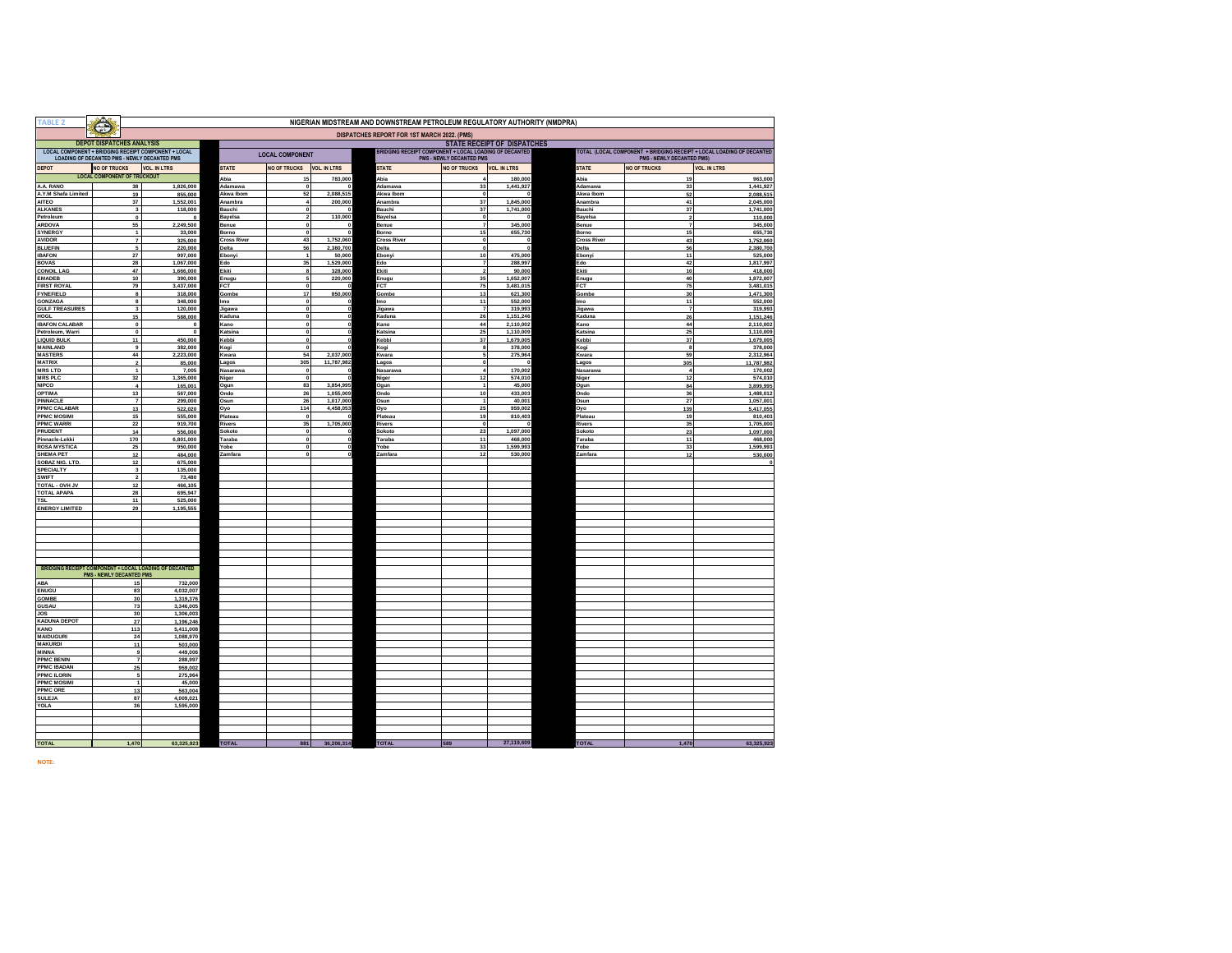| TABLE:                                       | NIGERIAN MIDSTREAM AND DOWNSTREAM PETROLEUM REGULATORY AUTHORITY (NMDPRA)<br>Ŧ                                                                                                                                                                                    |                                                        |                             |                               |                        |                             |                                  |                        |                             |                           |                        |
|----------------------------------------------|-------------------------------------------------------------------------------------------------------------------------------------------------------------------------------------------------------------------------------------------------------------------|--------------------------------------------------------|-----------------------------|-------------------------------|------------------------|-----------------------------|----------------------------------|------------------------|-----------------------------|---------------------------|------------------------|
| DISPATCHES REPORT FOR 1ST MARCH 2022. (PMS)  |                                                                                                                                                                                                                                                                   |                                                        |                             |                               |                        |                             |                                  |                        |                             |                           |                        |
|                                              | <b>DEPOT DISPATCHES ANALYSIS</b><br><b>STATE RECEIPT OF DISPATCHES</b><br>LOCAL COMPONENT + BRIDGING RECEIPT COMPONENT + LOCAL<br>BRIDGING RECEIPT COMPONENT + LOCAL LOADING OF DECANTED<br>TOTAL (LOCAL COMPONENT + BRIDGING RECEIPT + LOCAL LOADING OF DECANTED |                                                        |                             |                               |                        |                             |                                  |                        |                             |                           |                        |
| LOADING OF DECANTED PMS - NEWLY DECANTED PMS |                                                                                                                                                                                                                                                                   |                                                        |                             | <b>LOCAL COMPONENT</b>        |                        |                             | PMS - NEWLY DECANTED PMS         |                        |                             | PMS - NEWLY DECANTED PMS) |                        |
| <b>DEPOT</b>                                 | <b>NO OF TRUCKS</b>                                                                                                                                                                                                                                               | <b>VOL. IN LTRS</b>                                    | <b>STATE</b>                | <b>NO OF TRUCKS</b>           | <b>VOL. IN LTRS</b>    | <b>STATE</b>                | <b>NO OF TRUCKS</b>              | <b>VOL. IN LTRS</b>    | <b>STATE</b>                | <b>NO OF TRUCKS</b>       | <b>VOL. IN LTRS</b>    |
| A.A. RANO                                    | <b>LOCAL COMPONENT OF TRUCKOUT</b>                                                                                                                                                                                                                                |                                                        | Abia<br>Adamawa             | 15<br>$\overline{\mathbf{0}}$ | 783,000                | Abia<br>Adamawa             | $\overline{a}$<br>33             | 180,000<br>1,441,927   | Abia<br>Adamawa             | 19                        | 963,000                |
| A.Y.M Shafa Limited                          | 38<br>19                                                                                                                                                                                                                                                          | 1,826,000<br>855,000                                   | Akwa Ibom                   | 52                            | 2.088.515              | Akwa Ibom                   | $\mathbf{0}$                     |                        | Akwa Ibom                   | 33<br>52                  | 1,441,927<br>2,088,515 |
| <b>AITEO</b>                                 | 37                                                                                                                                                                                                                                                                | 1,552,001                                              | Anambra                     |                               | 200,000                | Anambra                     | $37\,$                           | 1,845,000              | Anambra                     | 41                        | 2,045,000              |
| <b>ALKANES</b><br>Petroleum                  | $\mathbf{3}$<br>$\Omega$                                                                                                                                                                                                                                          | 118,000<br>$\Omega$                                    | Bauchi<br>Bayelsa           | 2                             | 110,000                | Bauchi<br>Bayelsa           | 37<br>$\Omega$                   | 1,741,000              | Bauchi<br>Bayelsa           | 37<br>$\overline{2}$      | 1,741,00<br>110,000    |
| <b>ARDOVA</b>                                | 55                                                                                                                                                                                                                                                                | 2,249,500                                              | Benue                       | o                             |                        | Benue                       | $\overline{7}$                   | 345,000                | Benue                       | $\overline{7}$            | 345,000                |
| <b>SYNERGY</b><br><b>AVIDOR</b>              | $\mathbf{1}$<br>$\overline{\mathbf{r}}$                                                                                                                                                                                                                           | 33,000<br>325,000                                      | Borno<br><b>Cross River</b> | $\overline{\mathbf{0}}$<br>43 | 1,752,060              | Borno<br><b>Cross River</b> | 15<br>$\mathbf{0}$               | 655,730                | Borno<br><b>Cross River</b> | 15<br>43                  | 655,730<br>1,752,060   |
| <b>BLUEFIN</b>                               | 5                                                                                                                                                                                                                                                                 | 220,000                                                | Delta                       | 56                            | 2,380,700              | Delta                       | $\mathbf{0}$                     | $\sqrt{2}$             | Delta                       | 56                        | 2,380,700              |
| <b>IBAFON</b>                                | 27                                                                                                                                                                                                                                                                | 997,000                                                | Ebonvi                      |                               | 50,000                 | Ebony                       | 10                               | 475,000                | Ebonyi                      | 11                        | 525,000                |
| <b>BOVAS</b><br><b>CONOIL LAG</b>            | 28<br>47                                                                                                                                                                                                                                                          | 1,067,000<br>1,666,000                                 | Edo<br>Ekiti                | 35                            | 1,529,000<br>328,000   | Edo<br>Ekiti                | $\overline{7}$<br>$\overline{2}$ | 288,997<br>90,000      | Edo<br>Ekiti                | 42<br>10                  | 1,817,997<br>418,000   |
| <b>FMADER</b>                                | 10                                                                                                                                                                                                                                                                | 390,000                                                | Enuau                       |                               | 220,000                | Enugu                       | 35                               | 1,652,007              | Enugu                       | 40                        | 1,872,007              |
| <b>FIRST ROYAL</b><br><b>FYNEFIELD</b>       | 79<br>8                                                                                                                                                                                                                                                           | 3,437,000                                              | FCT                         | $\pmb{\mathsf{o}}$<br>17      | 850,000                | FCT                         | 75<br>13                         | 3,481,015              | FCT                         | ${\bf 75}$<br>30          | 3,481,015              |
| <b>GONZAGA</b>                               | 8                                                                                                                                                                                                                                                                 | 318,000<br>348,000                                     | Gombe<br>lmo                | $\mathbf{0}$                  |                        | Gombe<br>Imo                | 11                               | 621,300<br>552,000     | Gombe<br>lmo                | 11                        | 1,471,300<br>552,000   |
| <b>GULF TREASURES</b>                        | $\mathbf 3$                                                                                                                                                                                                                                                       | 120,000                                                | Jigawa                      | $\mathbf 0$                   |                        | Jigawa                      | $\overline{7}$                   | 319,993                | Jigawa                      | $\boldsymbol{7}$          | 319,993                |
| HOGL<br><b>IBAFON CALABAR</b>                | 15<br>$\pmb{0}$                                                                                                                                                                                                                                                   | 588,000<br>$\mathbf{0}$                                | Kaduna<br>Kano              | $\mathbf{0}$<br>$\mathbf{0}$  |                        | Kaduna<br>Kano              | 26<br>44                         | 1.151.246<br>2,110,002 | Kaduna<br>Kano              | 26<br>44                  | 1,151,246<br>2,110,002 |
| Petroleum, Warri                             | $\pmb{0}$                                                                                                                                                                                                                                                         | $\mathbf 0$                                            | Katsina                     | $\mathbf{r}$                  |                        | Katsina                     | 25                               | 1,110,009              | Katsina                     | 25                        | 1,110,009              |
| <b>LIQUID BULK</b>                           | 11                                                                                                                                                                                                                                                                | 450,000                                                | Kebbi                       | $\mathbf{r}$                  |                        | Kebbi                       | 37                               | 1,679,005              | Kebbi                       | 37                        | 1,679,005              |
| <b>MAINLAND</b><br><b>MASTERS</b>            | $\pmb{9}$<br>44                                                                                                                                                                                                                                                   | 382,000<br>2,223,000                                   | Kogi<br>Kwara               | $\mathbf 0$<br>54             | 2,037,000              | Kogi<br>Kwara               | 8<br>5                           | 378,000<br>275,964     | Kogi<br>Kwara               | $\bf{8}$<br>59            | 378,000<br>2,312,964   |
| <b>MATRIX</b>                                | $\overline{2}$                                                                                                                                                                                                                                                    | 85,000                                                 | Lagos                       | 305                           | 11,787,982             | Lagos                       | $\mathbf{0}$                     |                        | Lagos                       | 305                       | 11,787,982             |
| <b>MRS LTD</b><br><b>MRS PLC</b>             | $\mathbf{1}$                                                                                                                                                                                                                                                      | 7,005                                                  | Nasarawa                    | $\overline{\mathbf{0}}$       |                        | Nasarawa                    | $\blacktriangle$<br>12           | 170,002<br>574.010     | Nasarawa                    | $\boldsymbol{4}$          | 170,00                 |
| <b>NIPCO</b>                                 | 32<br>$\boldsymbol{4}$                                                                                                                                                                                                                                            | 1,365,000<br>165,001                                   | Niger<br>Ogun               | O<br>83                       | 3,854,995              | Niger<br>Ogun               | $\overline{1}$                   | 45,000                 | Niger<br>Ogun               | 12<br>84                  | 574,01<br>3,899,995    |
| <b>OPTIMA</b>                                | 13                                                                                                                                                                                                                                                                | 567,000                                                | Ondo                        | 26                            | 1,055,009              | Ondo                        | 10                               | 433,003                | Ondo                        | 36                        | 1,488,01               |
| <b>PINNACLE</b><br>PPMC CALABAR              | $\overline{7}$<br>$13\,$                                                                                                                                                                                                                                          | 299,000<br>522,020                                     | Osun<br>Oyo                 | 26<br>114                     | 1,017,000<br>4,458,053 | Osun<br>Oyo                 | $\overline{1}$<br>25             | 40.001<br>959,002      | Osun<br>Oyo                 | 27<br>139                 | 1,057,001<br>5,417,055 |
| <b>PPMC MOSIMI</b>                           | 15                                                                                                                                                                                                                                                                | 555,000                                                | Plateau                     | $\mathbf{0}$                  |                        | Plateau                     | 19                               | 810,403                | Plateau                     | 19                        | 810,403                |
| <b>PPMC WARRI</b>                            | 22                                                                                                                                                                                                                                                                | 919,700                                                | <b>Rivers</b>               | 35                            | 1,705,000              | Rivers                      | $\Omega$                         |                        | <b>Rivers</b>               | 35                        | 1,705,000              |
| PRUDENT<br>Pinnacle-Lekki                    | 14<br>170                                                                                                                                                                                                                                                         | 556,000<br>6,801,000                                   | Sokoto<br>Taraba            | $\overline{\mathbf{0}}$       |                        | Sokoto<br>Taraba            | 23<br>11                         | 1,097,000<br>468,000   | Sokoto<br>Taraba            | 23<br>11                  | 1,097,000<br>468,00    |
| <b>ROSA MYSTICA</b>                          | 25                                                                                                                                                                                                                                                                | 950.000                                                | Yobe                        |                               |                        | Yobe                        | 33                               | 1,599,993              | Yobe                        | 33                        | 1,599,993              |
| <b>SHEMA PET</b><br>SOBAZ NIG. LTD.          | 12<br>12                                                                                                                                                                                                                                                          | 484,000                                                | Zamfara                     |                               |                        | Zamfara                     | 12                               | 530,000                | Zamfara                     | 12                        | 530,000                |
| SPECIALTY                                    | $\mathbf 3$                                                                                                                                                                                                                                                       | 675,000<br>135,000                                     |                             |                               |                        |                             |                                  |                        |                             |                           |                        |
| <b>SWIFT</b>                                 | $\overline{2}$                                                                                                                                                                                                                                                    | 73,480                                                 |                             |                               |                        |                             |                                  |                        |                             |                           |                        |
| <b>FOTAL - OVH JV</b><br>TOTAL APAPA         | $12$<br>28                                                                                                                                                                                                                                                        | 466,105<br>695,947                                     |                             |                               |                        |                             |                                  |                        |                             |                           |                        |
| <b>TSL</b>                                   | 11                                                                                                                                                                                                                                                                | 525,000                                                |                             |                               |                        |                             |                                  |                        |                             |                           |                        |
| <b>ENERGY LIMITED</b>                        | 29                                                                                                                                                                                                                                                                | 1,195,555                                              |                             |                               |                        |                             |                                  |                        |                             |                           |                        |
|                                              |                                                                                                                                                                                                                                                                   |                                                        |                             |                               |                        |                             |                                  |                        |                             |                           |                        |
|                                              |                                                                                                                                                                                                                                                                   |                                                        |                             |                               |                        |                             |                                  |                        |                             |                           |                        |
|                                              |                                                                                                                                                                                                                                                                   |                                                        |                             |                               |                        |                             |                                  |                        |                             |                           |                        |
|                                              |                                                                                                                                                                                                                                                                   |                                                        |                             |                               |                        |                             |                                  |                        |                             |                           |                        |
|                                              |                                                                                                                                                                                                                                                                   | BRIDGING RECEIPT COMPONENT + LOCAL LOADING OF DECANTED |                             |                               |                        |                             |                                  |                        |                             |                           |                        |
|                                              | PMS - NEWLY DECANTED PMS                                                                                                                                                                                                                                          |                                                        |                             |                               |                        |                             |                                  |                        |                             |                           |                        |
| ABA<br><b>ENUGU</b>                          | 15                                                                                                                                                                                                                                                                | 732,000                                                |                             |                               |                        |                             |                                  |                        |                             |                           |                        |
| <b>GOMBE</b>                                 | 83<br>30                                                                                                                                                                                                                                                          | 4,032,007<br>1,319,376                                 |                             |                               |                        |                             |                                  |                        |                             |                           |                        |
| <b>GUSAU</b>                                 | 73                                                                                                                                                                                                                                                                | 3,346,005                                              |                             |                               |                        |                             |                                  |                        |                             |                           |                        |
| <b>JOS</b><br><b>KADUNA DEPOT</b>            | 30<br>$27\,$                                                                                                                                                                                                                                                      | 1,306,003<br>1,196,246                                 |                             |                               |                        |                             |                                  |                        |                             |                           |                        |
| KANO                                         | 113                                                                                                                                                                                                                                                               | 5.411.008                                              |                             |                               |                        |                             |                                  |                        |                             |                           |                        |
| <b>MAIDUGURI</b>                             | ${\bf 24}$                                                                                                                                                                                                                                                        | 1,088,970                                              |                             |                               |                        |                             |                                  |                        |                             |                           |                        |
| <b>MAKURDI</b><br><b>MINNA</b>               | 11<br>$\mathbf{9}$                                                                                                                                                                                                                                                | 503,000<br>449.006                                     |                             |                               |                        |                             |                                  |                        |                             |                           |                        |
| <b>PPMC BENIN</b>                            | $\scriptstyle\rm 7$                                                                                                                                                                                                                                               | 288,997                                                |                             |                               |                        |                             |                                  |                        |                             |                           |                        |
| <b>PPMC IRADAN</b>                           | 25                                                                                                                                                                                                                                                                | 959,002                                                |                             |                               |                        |                             |                                  |                        |                             |                           |                        |
| PPMC ILORIN<br><b>PPMC MOSIMI</b>            | $\overline{1}$                                                                                                                                                                                                                                                    | 275.964<br>45,000                                      |                             |                               |                        |                             |                                  |                        |                             |                           |                        |
| <b>PPMC ORE</b>                              | 13                                                                                                                                                                                                                                                                | 563,004                                                |                             |                               |                        |                             |                                  |                        |                             |                           |                        |
| <b>SULEJA</b><br><b>YOLA</b>                 | 87<br>36                                                                                                                                                                                                                                                          | 4,009,021<br>1,595,000                                 |                             |                               |                        |                             |                                  |                        |                             |                           |                        |
|                                              |                                                                                                                                                                                                                                                                   |                                                        |                             |                               |                        |                             |                                  |                        |                             |                           |                        |
|                                              |                                                                                                                                                                                                                                                                   |                                                        |                             |                               |                        |                             |                                  |                        |                             |                           |                        |
|                                              |                                                                                                                                                                                                                                                                   |                                                        |                             |                               |                        |                             |                                  |                        |                             |                           |                        |
| <b>TOTAL</b>                                 | 1,470                                                                                                                                                                                                                                                             | 63,325,923                                             | <b>TOTAL</b>                | 881                           | 36,206,314             | <b>TOTAL</b>                | 589                              | 27,119,609             | <b>TOTAL</b>                | 1,470                     | 63,325,923             |

**NOTE:**